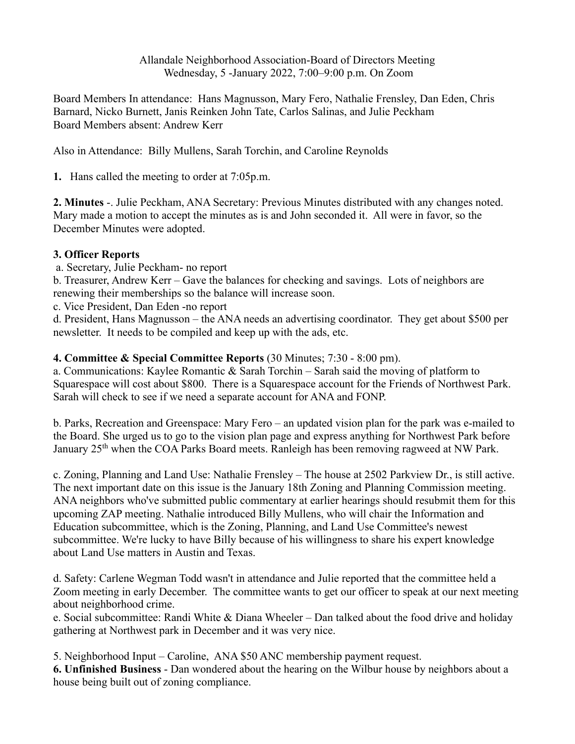Allandale Neighborhood Association-Board of Directors Meeting Wednesday, 5 -January 2022, 7:00–9:00 p.m. On Zoom

Board Members In attendance: Hans Magnusson, Mary Fero, Nathalie Frensley, Dan Eden, Chris Barnard, Nicko Burnett, Janis Reinken John Tate, Carlos Salinas, and Julie Peckham Board Members absent: Andrew Kerr

Also in Attendance: Billy Mullens, Sarah Torchin, and Caroline Reynolds

**1.** Hans called the meeting to order at 7:05p.m.

**2. Minutes** -. Julie Peckham, ANA Secretary: Previous Minutes distributed with any changes noted. Mary made a motion to accept the minutes as is and John seconded it. All were in favor, so the December Minutes were adopted.

## **3. Officer Reports**

a. Secretary, Julie Peckham- no report

b. Treasurer, Andrew Kerr – Gave the balances for checking and savings. Lots of neighbors are renewing their memberships so the balance will increase soon.

c. Vice President, Dan Eden -no report

d. President, Hans Magnusson – the ANA needs an advertising coordinator. They get about \$500 per newsletter. It needs to be compiled and keep up with the ads, etc.

## **4. Committee & Special Committee Reports** (30 Minutes; 7:30 - 8:00 pm).

a. Communications: Kaylee Romantic & Sarah Torchin – Sarah said the moving of platform to Squarespace will cost about \$800. There is a Squarespace account for the Friends of Northwest Park. Sarah will check to see if we need a separate account for ANA and FONP.

b. Parks, Recreation and Greenspace: Mary Fero – an updated vision plan for the park was e-mailed to the Board. She urged us to go to the vision plan page and express anything for Northwest Park before January 25<sup>th</sup> when the COA Parks Board meets. Ranleigh has been removing ragweed at NW Park.

c. Zoning, Planning and Land Use: Nathalie Frensley – The house at 2502 Parkview Dr., is still active. The next important date on this issue is the January 18th Zoning and Planning Commission meeting. ANA neighbors who've submitted public commentary at earlier hearings should resubmit them for this upcoming ZAP meeting. Nathalie introduced Billy Mullens, who will chair the Information and Education subcommittee, which is the Zoning, Planning, and Land Use Committee's newest subcommittee. We're lucky to have Billy because of his willingness to share his expert knowledge about Land Use matters in Austin and Texas.

d. Safety: Carlene Wegman Todd wasn't in attendance and Julie reported that the committee held a Zoom meeting in early December. The committee wants to get our officer to speak at our next meeting about neighborhood crime.

e. Social subcommittee: Randi White & Diana Wheeler – Dan talked about the food drive and holiday gathering at Northwest park in December and it was very nice.

5. Neighborhood Input – Caroline, ANA \$50 ANC membership payment request.

**6. Unfinished Business** - Dan wondered about the hearing on the Wilbur house by neighbors about a house being built out of zoning compliance.